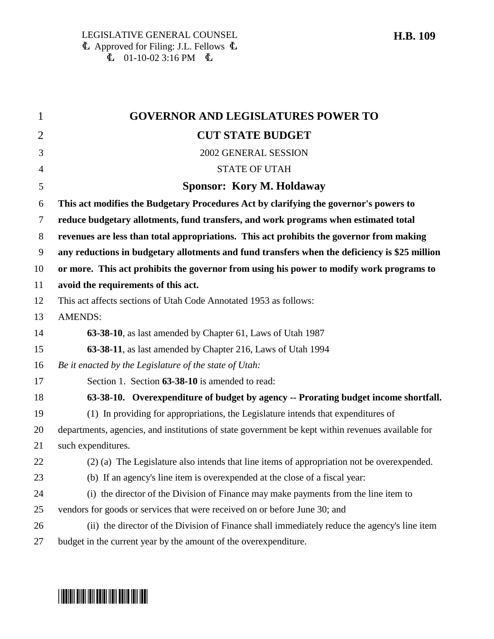| 1              | <b>GOVERNOR AND LEGISLATURES POWER TO</b>                                                         |
|----------------|---------------------------------------------------------------------------------------------------|
| $\overline{2}$ | <b>CUT STATE BUDGET</b>                                                                           |
| 3              | 2002 GENERAL SESSION                                                                              |
| $\overline{4}$ | <b>STATE OF UTAH</b>                                                                              |
| 5              | <b>Sponsor: Kory M. Holdaway</b>                                                                  |
| 6              | This act modifies the Budgetary Procedures Act by clarifying the governor's powers to             |
| 7              | reduce budgetary allotments, fund transfers, and work programs when estimated total               |
| 8              | revenues are less than total appropriations. This act prohibits the governor from making          |
| 9              | any reductions in budgetary allotments and fund transfers when the deficiency is \$25 million     |
| 10             | or more. This act prohibits the governor from using his power to modify work programs to          |
| 11             | avoid the requirements of this act.                                                               |
| 12             | This act affects sections of Utah Code Annotated 1953 as follows:                                 |
| 13             | <b>AMENDS:</b>                                                                                    |
| 14             | 63-38-10, as last amended by Chapter 61, Laws of Utah 1987                                        |
| 15             | 63-38-11, as last amended by Chapter 216, Laws of Utah 1994                                       |
| 16             | Be it enacted by the Legislature of the state of Utah:                                            |
| 17             | Section 1. Section 63-38-10 is amended to read:                                                   |
| 18             | 63-38-10. Overexpenditure of budget by agency -- Prorating budget income shortfall.               |
| 19             | (1) In providing for appropriations, the Legislature intends that expenditures of                 |
| 20             | departments, agencies, and institutions of state government be kept within revenues available for |
| 21             | such expenditures.                                                                                |
| 22             | (2) (a) The Legislature also intends that line items of appropriation not be overexpended.        |
| 23             | (b) If an agency's line item is overexpended at the close of a fiscal year:                       |
| 24             | (i) the director of the Division of Finance may make payments from the line item to               |
| 25             | vendors for goods or services that were received on or before June 30; and                        |
| 26             | (ii) the director of the Division of Finance shall immediately reduce the agency's line item      |
| 27             | budget in the current year by the amount of the overexpenditure.                                  |

## \*HB0109\*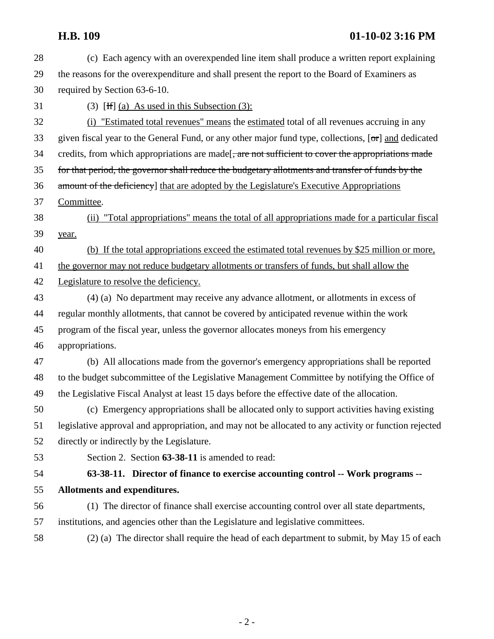| 28 | (c) Each agency with an overexpended line item shall produce a written report explaining                     |
|----|--------------------------------------------------------------------------------------------------------------|
| 29 | the reasons for the overexpenditure and shall present the report to the Board of Examiners as                |
| 30 | required by Section 63-6-10.                                                                                 |
| 31 | (3) [H] (a) As used in this Subsection $(3)$ :                                                               |
| 32 | "Estimated total revenues" means the estimated total of all revenues accruing in any<br>(i)                  |
| 33 | given fiscal year to the General Fund, or any other major fund type, collections, $[\sigma r]$ and dedicated |
| 34 | credits, from which appropriations are made [, are not sufficient to cover the appropriations made           |
| 35 | for that period, the governor shall reduce the budgetary allotments and transfer of funds by the             |
| 36 | amount of the deficiency] that are adopted by the Legislature's Executive Appropriations                     |
| 37 | Committee.                                                                                                   |
| 38 | "Total appropriations" means the total of all appropriations made for a particular fiscal<br>(ii)            |
| 39 | year.                                                                                                        |
| 40 | (b) If the total appropriations exceed the estimated total revenues by \$25 million or more,                 |
| 41 | the governor may not reduce budgetary allotments or transfers of funds, but shall allow the                  |
| 42 | Legislature to resolve the deficiency.                                                                       |
| 43 | (4) (a) No department may receive any advance allotment, or allotments in excess of                          |
| 44 | regular monthly allotments, that cannot be covered by anticipated revenue within the work                    |
| 45 | program of the fiscal year, unless the governor allocates moneys from his emergency                          |
| 46 | appropriations.                                                                                              |
| 47 | (b) All allocations made from the governor's emergency appropriations shall be reported                      |
| 48 | to the budget subcommittee of the Legislative Management Committee by notifying the Office of                |
| 49 | the Legislative Fiscal Analyst at least 15 days before the effective date of the allocation.                 |
| 50 | (c) Emergency appropriations shall be allocated only to support activities having existing                   |
| 51 | legislative approval and appropriation, and may not be allocated to any activity or function rejected        |
| 52 | directly or indirectly by the Legislature.                                                                   |
| 53 | Section 2. Section 63-38-11 is amended to read:                                                              |
| 54 | 63-38-11. Director of finance to exercise accounting control -- Work programs --                             |
| 55 | Allotments and expenditures.                                                                                 |
| 56 | (1) The director of finance shall exercise accounting control over all state departments,                    |
| 57 | institutions, and agencies other than the Legislature and legislative committees.                            |
| 58 | (2) (a) The director shall require the head of each department to submit, by May 15 of each                  |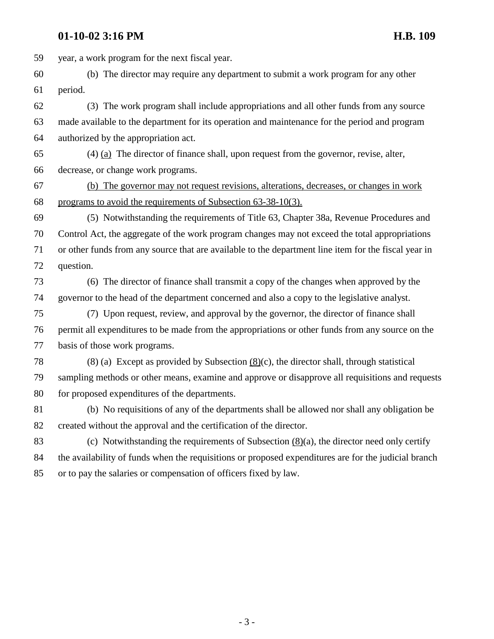## **01-10-02 3:16 PM H.B. 109**

59 year, a work program for the next fiscal year. 60 (b) The director may require any department to submit a work program for any other 61 period. 62 (3) The work program shall include appropriations and all other funds from any source 63 made available to the department for its operation and maintenance for the period and program 64 authorized by the appropriation act. 65  $(4)$   $(a)$  The director of finance shall, upon request from the governor, revise, alter, 66 decrease, or change work programs. 67 (b) The governor may not request revisions, alterations, decreases, or changes in work 68 programs to avoid the requirements of Subsection 63-38-10(3). 69 (5) Notwithstanding the requirements of Title 63, Chapter 38a, Revenue Procedures and 70 Control Act, the aggregate of the work program changes may not exceed the total appropriations 71 or other funds from any source that are available to the department line item for the fiscal year in 72 question. 73 (6) The director of finance shall transmit a copy of the changes when approved by the 74 governor to the head of the department concerned and also a copy to the legislative analyst. 75 (7) Upon request, review, and approval by the governor, the director of finance shall 76 permit all expenditures to be made from the appropriations or other funds from any source on the 77 basis of those work programs. 78 (8) (a) Except as provided by Subsection (8)(c), the director shall, through statistical 79 sampling methods or other means, examine and approve or disapprove all requisitions and requests 80 for proposed expenditures of the departments. 81 (b) No requisitions of any of the departments shall be allowed nor shall any obligation be 82 created without the approval and the certification of the director. 83 (c) Notwithstanding the requirements of Subsection (8)(a), the director need only certify 84 the availability of funds when the requisitions or proposed expenditures are for the judicial branch 85 or to pay the salaries or compensation of officers fixed by law.